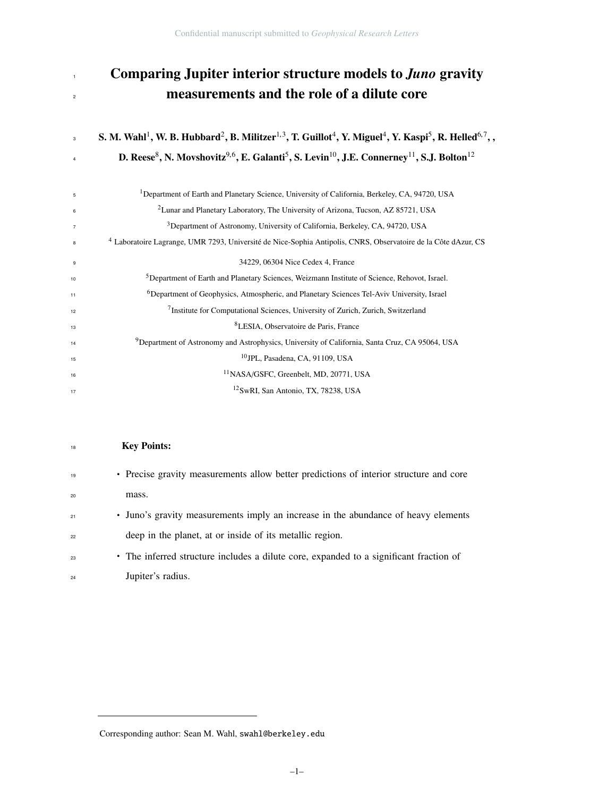# Comparing Jupiter interior structure models to *Juno* gravity **measurements and the role of a dilute core**

#### $\,$ s  $\,$   $\,$  S. M. Wahl $^1$ , W. B. Hubbard $^2$ , B. Militzer $^{1,3}$ , T. Guillot $^4$ , Y. Miguel $^4$ , Y. Kaspi $^5$ , R. Helled $^{6,7}$ , , D. Reese $^8$ , N. Movshovitz $^{9,6}$ , E. Galanti $^5$ , S. Levin $^{10}$ , J.E. Connerney $^{11}$ , S.J. Bolton $^{12}$

| 5              | <sup>1</sup> Department of Earth and Planetary Science, University of California, Berkeley, CA, 94720, USA                |
|----------------|---------------------------------------------------------------------------------------------------------------------------|
| 6              | <sup>2</sup> Lunar and Planetary Laboratory, The University of Arizona, Tucson, AZ 85721, USA                             |
| $\overline{7}$ | <sup>3</sup> Department of Astronomy, University of California, Berkeley, CA, 94720, USA                                  |
| 8              | <sup>4</sup> Laboratoire Lagrange, UMR 7293, Université de Nice-Sophia Antipolis, CNRS, Observatoire de la Côte dAzur, CS |
| 9              | 34229, 06304 Nice Cedex 4, France                                                                                         |
| 10             | <sup>5</sup> Department of Earth and Planetary Sciences, Weizmann Institute of Science, Rehovot, Israel.                  |
| 11             | <sup>6</sup> Department of Geophysics, Atmospheric, and Planetary Sciences Tel-Aviv University, Israel                    |
| 12             | <sup>7</sup> Institute for Computational Sciences, University of Zurich, Zurich, Switzerland                              |
| 13             | <sup>8</sup> LESIA, Observatoire de Paris, France                                                                         |
| 14             | <sup>9</sup> Department of Astronomy and Astrophysics, University of California, Santa Cruz, CA 95064, USA                |
| 15             | <sup>10</sup> JPL. Pasadena. CA. 91109. USA                                                                               |
| 16             | <sup>11</sup> NASA/GSFC, Greenbelt, MD, 20771, USA                                                                        |
| 17             | <sup>12</sup> SwRI, San Antonio, TX, 78238, USA                                                                           |
|                |                                                                                                                           |

#### **Key Points:**

| 19 | • Precise gravity measurements allow better predictions of interior structure and core |
|----|----------------------------------------------------------------------------------------|
| 20 | mass.                                                                                  |
| 21 | • Juno's gravity measurements imply an increase in the abundance of heavy elements     |
| 22 | deep in the planet, at or inside of its metallic region.                               |
| 23 | • The inferred structure includes a dilute core, expanded to a significant fraction of |
| 24 | Jupiter's radius.                                                                      |

Corresponding author: Sean M. Wahl, swahl@berkeley.edu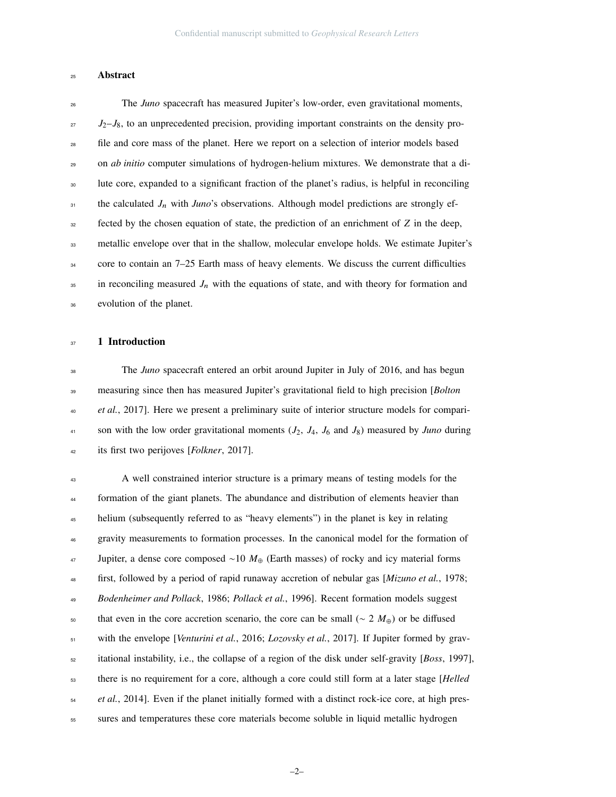#### Abstract

 The *Juno* spacecraft has measured Jupiter's low-order, even gravitational moments,  $J_2-J_8$ , to an unprecedented precision, providing important constraints on the density pro- file and core mass of the planet. Here we report on a selection of interior models based on *ab initio* computer simulations of hydrogen-helium mixtures. We demonstrate that a di- lute core, expanded to a significant fraction of the planet's radius, is helpful in reconciling <sup>31</sup> the calculated *J<sub>n</sub>* with *Juno*'s observations. Although model predictions are strongly ef- fected by the chosen equation of state, the prediction of an enrichment of *Z* in the deep, metallic envelope over that in the shallow, molecular envelope holds. We estimate Jupiter's <sup>34</sup> core to contain an 7–25 Earth mass of heavy elements. We discuss the current difficulties in reconciling measured  $J_n$  with the equations of state, and with theory for formation and evolution of the planet.

#### 37 1 Introduction

 The *Juno* spacecraft entered an orbit around Jupiter in July of 2016, and has begun measuring since then has measured Jupiter's gravitational field to high precision [*Bolton* <sup>40</sup> *et al.*, 2017]. Here we present a preliminary suite of interior structure models for compari- son with the low order gravitational moments (*J*2, *J*4, *J*<sup>6</sup> and *J*8) measured by *Juno* during its first two perijoves [*Folkner*, 2017].

 A well constrained interior structure is a primary means of testing models for the formation of the giant planets. The abundance and distribution of elements heavier than helium (subsequently referred to as "heavy elements") in the planet is key in relating gravity measurements to formation processes. In the canonical model for the formation of Jupiter, a dense core composed ∼10 *M*<sup>⊕</sup> (Earth masses) of rocky and icy material forms first, followed by a period of rapid runaway accretion of nebular gas [*Mizuno et al.*, 1978; *Bodenheimer and Pollack*, 1986; *Pollack et al.*, 1996]. Recent formation models suggest that even in the core accretion scenario, the core can be small (∼ 2 *M*⊕) or be diffused with the envelope [*Venturini et al.*, 2016; *Lozovsky et al.*, 2017]. If Jupiter formed by grav- itational instability, i.e., the collapse of a region of the disk under self-gravity [*Boss*, 1997], there is no requirement for a core, although a core could still form at a later stage [*Helled et al.*, 2014]. Even if the planet initially formed with a distinct rock-ice core, at high pres-sures and temperatures these core materials become soluble in liquid metallic hydrogen

–2–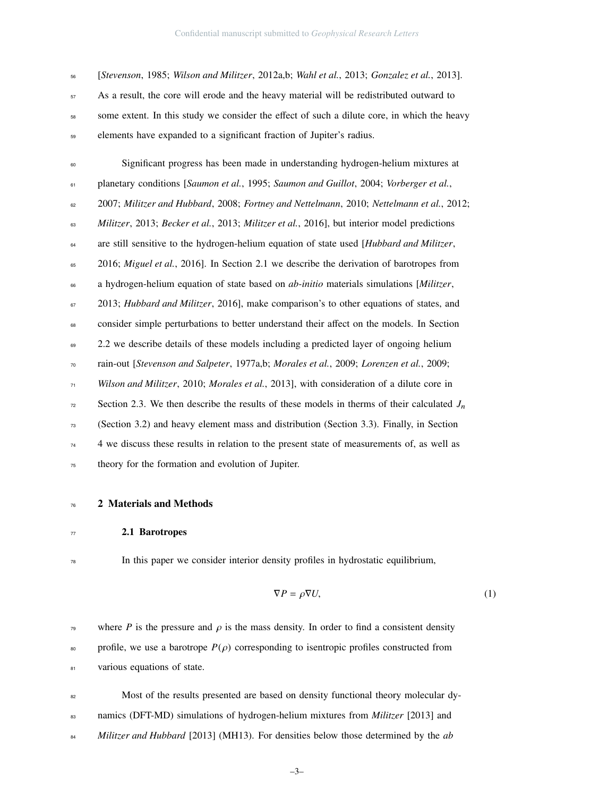[*Stevenson*, 1985; *Wilson and Militzer*, 2012a,b; *Wahl et al.*, 2013; *Gonzalez et al.*, 2013]. As a result, the core will erode and the heavy material will be redistributed outward to some extent. In this study we consider the effect of such a dilute core, in which the heavy elements have expanded to a significant fraction of Jupiter's radius.

 Significant progress has been made in understanding hydrogen-helium mixtures at planetary conditions [*Saumon et al.*, 1995; *Saumon and Guillot*, 2004; *Vorberger et al.*, 2007; *Militzer and Hubbard*, 2008; *Fortney and Nettelmann*, 2010; *Nettelmann et al.*, 2012; *Militzer*, 2013; *Becker et al.*, 2013; *Militzer et al.*, 2016], but interior model predictions are still sensitive to the hydrogen-helium equation of state used [*Hubbard and Militzer*, <sup>65</sup> 2016; *Miguel et al.*, 2016]. In Section 2.1 we describe the derivation of barotropes from a hydrogen-helium equation of state based on *ab-initio* materials simulations [*Militzer*, 2013; *Hubbard and Militzer*, 2016], make comparison's to other equations of states, and consider simple perturbations to better understand their affect on the models. In Section 2.2 we describe details of these models including a predicted layer of ongoing helium rain-out [*Stevenson and Salpeter*, 1977a,b; *Morales et al.*, 2009; *Lorenzen et al.*, 2009; *Wilson and Militzer*, 2010; *Morales et al.*, 2013], with consideration of a dilute core in  $\frac{7}{2}$  Section 2.3. We then describe the results of these models in therms of their calculated  $J_n$  (Section 3.2) and heavy element mass and distribution (Section 3.3). Finally, in Section <sup>74</sup> 4 we discuss these results in relation to the present state of measurements of, as well as theory for the formation and evolution of Jupiter.

#### 2 Materials and Methods

#### 2.1 Barotropes

### In this paper we consider interior density profiles in hydrostatic equilibrium,

$$
\nabla P = \rho \nabla U,\tag{1}
$$

- <sup>79</sup> where *P* is the pressure and  $\rho$  is the mass density. In order to find a consistent density  $\text{for } s_0$  profile, we use a barotrope  $P(\rho)$  corresponding to isentropic profiles constructed from 81 various equations of state.
- Most of the results presented are based on density functional theory molecular dy- namics (DFT-MD) simulations of hydrogen-helium mixtures from *Militzer* [2013] and *Militzer and Hubbard* [2013] (MH13). For densities below those determined by the *ab*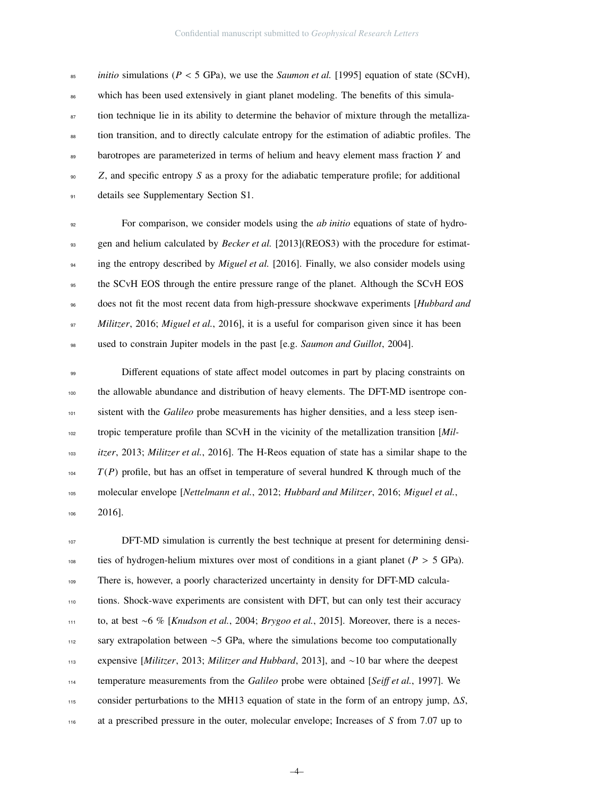<sup>85</sup> *initio* simulations ( $P < 5$  GPa), we use the *Saumon et al.* [1995] equation of state (SCvH), <sup>86</sup> which has been used extensively in giant planet modeling. The benefits of this simula-<sup>87</sup> tion technique lie in its ability to determine the behavior of mixture through the metalliza- tion transition, and to directly calculate entropy for the estimation of adiabtic profiles. The barotropes are parameterized in terms of helium and heavy element mass fraction *Y* and *Z*, and specific entropy *S* as a proxy for the adiabatic temperature profile; for additional details see Supplementary Section S1.

 For comparison, we consider models using the *ab initio* equations of state of hydro- gen and helium calculated by *Becker et al.* [2013](REOS3) with the procedure for estimat-<sup>94</sup> ing the entropy described by *Miguel et al.* [2016]. Finally, we also consider models using <sub>95</sub> the SCvH EOS through the entire pressure range of the planet. Although the SCvH EOS does not fit the most recent data from high-pressure shockwave experiments [*Hubbard and Militzer*, 2016; *Miguel et al.*, 2016], it is a useful for comparison given since it has been used to constrain Jupiter models in the past [e.g. *Saumon and Guillot*, 2004].

 Different equations of state affect model outcomes in part by placing constraints on the allowable abundance and distribution of heavy elements. The DFT-MD isentrope con- sistent with the *Galileo* probe measurements has higher densities, and a less steep isen- tropic temperature profile than SCvH in the vicinity of the metallization transition [*Mil- itzer*, 2013; *Militzer et al.*, 2016]. The H-Reos equation of state has a similar shape to the  $T(P)$  profile, but has an offset in temperature of several hundred K through much of the molecular envelope [*Nettelmann et al.*, 2012; *Hubbard and Militzer*, 2016; *Miguel et al.*, 2016].

 DFT-MD simulation is currently the best technique at present for determining densi-108 ties of hydrogen-helium mixtures over most of conditions in a giant planet  $(P > 5 \text{ GPa})$ . There is, however, a poorly characterized uncertainty in density for DFT-MD calcula- tions. Shock-wave experiments are consistent with DFT, but can only test their accuracy to, at best ∼6 % [*Knudson et al.*, 2004; *Brygoo et al.*, 2015]. Moreover, there is a neces- sary extrapolation between ∼5 GPa, where the simulations become too computationally expensive [*Militzer*, 2013; *Militzer and Hubbard*, 2013], and ∼10 bar where the deepest temperature measurements from the *Galileo* probe were obtained [*Sei*ff *et al.*, 1997]. We consider perturbations to the MH13 equation of state in the form of an entropy jump, ∆*S*, at a prescribed pressure in the outer, molecular envelope; Increases of *S* from 7.07 up to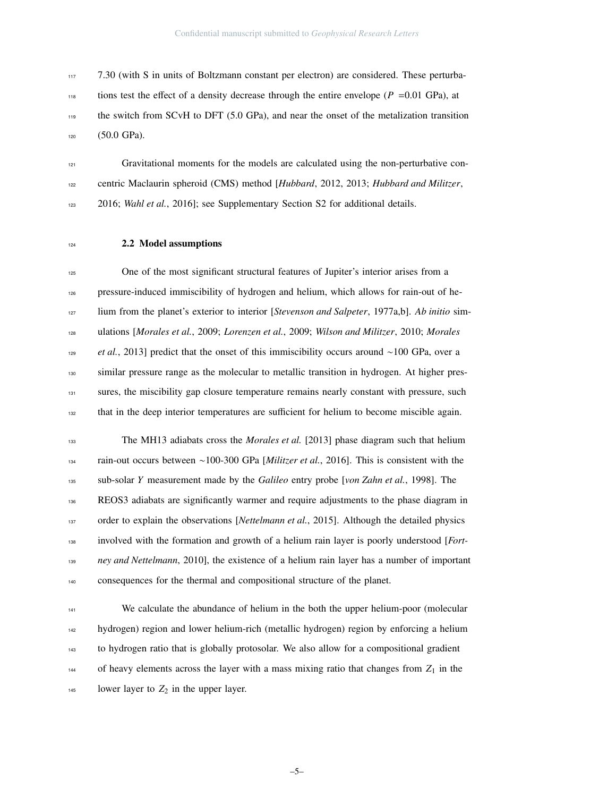7.30 (with S in units of Boltzmann constant per electron) are considered. These perturba-<sup>118</sup> tions test the effect of a density decrease through the entire envelope ( $P = 0.01$  GPa), at the switch from SCvH to DFT (5.0 GPa), and near the onset of the metalization transition (50.0 GPa).

 Gravitational moments for the models are calculated using the non-perturbative con- centric Maclaurin spheroid (CMS) method [*Hubbard*, 2012, 2013; *Hubbard and Militzer*, 2016; *Wahl et al.*, 2016]; see Supplementary Section S2 for additional details.

#### 124 2.2 Model assumptions

 One of the most significant structural features of Jupiter's interior arises from a pressure-induced immiscibility of hydrogen and helium, which allows for rain-out of he- lium from the planet's exterior to interior [*Stevenson and Salpeter*, 1977a,b]. *Ab initio* sim- ulations [*Morales et al.*, 2009; *Lorenzen et al.*, 2009; *Wilson and Militzer*, 2010; *Morales et al.*, 2013] predict that the onset of this immiscibility occurs around ∼100 GPa, over a similar pressure range as the molecular to metallic transition in hydrogen. At higher pres-131 sures, the miscibility gap closure temperature remains nearly constant with pressure, such that in the deep interior temperatures are sufficient for helium to become miscible again.

 The MH13 adiabats cross the *Morales et al.* [2013] phase diagram such that helium rain-out occurs between ∼100-300 GPa [*Militzer et al.*, 2016]. This is consistent with the sub-solar *Y* measurement made by the *Galileo* entry probe [*von Zahn et al.*, 1998]. The REOS3 adiabats are significantly warmer and require adjustments to the phase diagram in 137 order to explain the observations [*Nettelmann et al.*, 2015]. Although the detailed physics involved with the formation and growth of a helium rain layer is poorly understood [*Fort- ney and Nettelmann*, 2010], the existence of a helium rain layer has a number of important consequences for the thermal and compositional structure of the planet.

 We calculate the abundance of helium in the both the upper helium-poor (molecular hydrogen) region and lower helium-rich (metallic hydrogen) region by enforcing a helium to hydrogen ratio that is globally protosolar. We also allow for a compositional gradient <sup>144</sup> of heavy elements across the layer with a mass mixing ratio that changes from  $Z_1$  in the <sup>145</sup> lower layer to  $Z_2$  in the upper layer.

–5–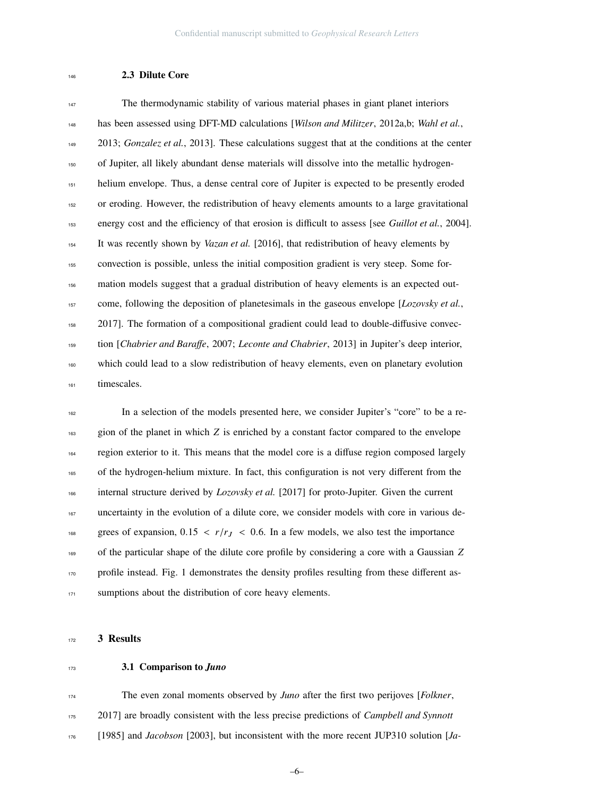#### 2.3 Dilute Core

 The thermodynamic stability of various material phases in giant planet interiors has been assessed using DFT-MD calculations [*Wilson and Militzer*, 2012a,b; *Wahl et al.*, 2013; *Gonzalez et al.*, 2013]. These calculations suggest that at the conditions at the center of Jupiter, all likely abundant dense materials will dissolve into the metallic hydrogen- helium envelope. Thus, a dense central core of Jupiter is expected to be presently eroded or eroding. However, the redistribution of heavy elements amounts to a large gravitational energy cost and the efficiency of that erosion is difficult to assess [see *Guillot et al.*, 2004]. It was recently shown by *Vazan et al.* [2016], that redistribution of heavy elements by convection is possible, unless the initial composition gradient is very steep. Some for- mation models suggest that a gradual distribution of heavy elements is an expected out- come, following the deposition of planetesimals in the gaseous envelope [*Lozovsky et al.*, 2017]. The formation of a compositional gradient could lead to double-diffusive convec- tion [*Chabrier and Bara*ff*e*, 2007; *Leconte and Chabrier*, 2013] in Jupiter's deep interior, which could lead to a slow redistribution of heavy elements, even on planetary evolution timescales.

 In a selection of the models presented here, we consider Jupiter's "core" to be a re- gion of the planet in which *Z* is enriched by a constant factor compared to the envelope region exterior to it. This means that the model core is a diffuse region composed largely of the hydrogen-helium mixture. In fact, this configuration is not very different from the internal structure derived by *Lozovsky et al.* [2017] for proto-Jupiter. Given the current uncertainty in the evolution of a dilute core, we consider models with core in various de-168 grees of expansion,  $0.15 < r/r_J < 0.6$ . In a few models, we also test the importance of the particular shape of the dilute core profile by considering a core with a Gaussian *Z* 170 profile instead. Fig. 1 demonstrates the density profiles resulting from these different as-171 sumptions about the distribution of core heavy elements.

#### 3 Results

#### 3.1 Comparison to *Juno*

 The even zonal moments observed by *Juno* after the first two perijoves [*Folkner*, 2017] are broadly consistent with the less precise predictions of *Campbell and Synnott* [1985] and *Jacobson* [2003], but inconsistent with the more recent JUP310 solution [*Ja-*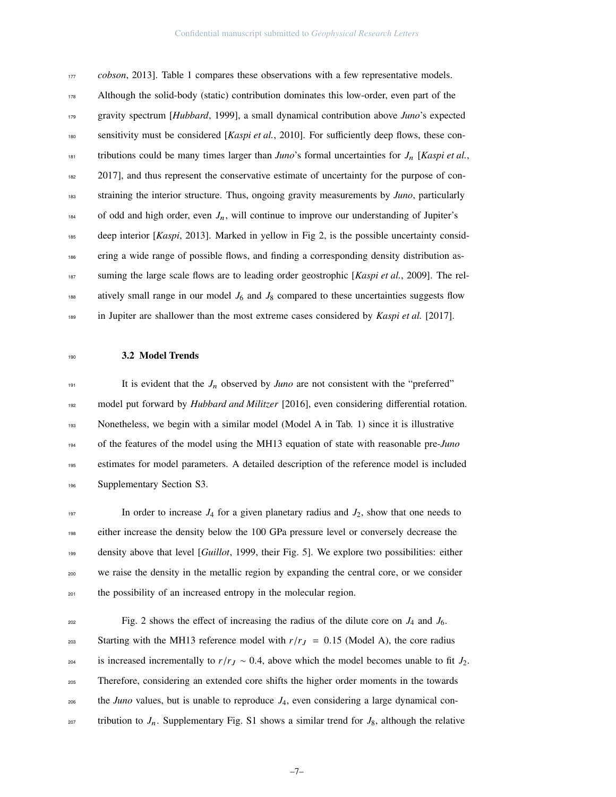*cobson*, 2013]. Table 1 compares these observations with a few representative models. Although the solid-body (static) contribution dominates this low-order, even part of the gravity spectrum [*Hubbard*, 1999], a small dynamical contribution above *Juno*'s expected sensitivity must be considered [*Kaspi et al.*, 2010]. For sufficiently deep flows, these con-181 tributions could be many times larger than *Juno*'s formal uncertainties for  $J_n$  [*Kaspi et al.*, 2017], and thus represent the conservative estimate of uncertainty for the purpose of con- straining the interior structure. Thus, ongoing gravity measurements by *Juno*, particularly <sup>184</sup> of odd and high order, even  $J_n$ , will continue to improve our understanding of Jupiter's deep interior [*Kaspi*, 2013]. Marked in yellow in Fig 2, is the possible uncertainty consid- ering a wide range of possible flows, and finding a corresponding density distribution as- suming the large scale flows are to leading order geostrophic [*Kaspi et al.*, 2009]. The rel-<sup>188</sup> atively small range in our model  $J_6$  and  $J_8$  compared to these uncertainties suggests flow <sup>189</sup> in Jupiter are shallower than the most extreme cases considered by *Kaspi et al.* [2017].

3.2 Model Trends

<sup>191</sup> It is evident that the  $J_n$  observed by *Juno* are not consistent with the "preferred" model put forward by *Hubbard and Militzer* [2016], even considering differential rotation. 193 Nonetheless, we begin with a similar model (Model A in Tab. 1) since it is illustrative of the features of the model using the MH13 equation of state with reasonable pre-*Juno* estimates for model parameters. A detailed description of the reference model is included Supplementary Section S3.

197 In order to increase  $J_4$  for a given planetary radius and  $J_2$ , show that one needs to either increase the density below the 100 GPa pressure level or conversely decrease the density above that level [*Guillot*, 1999, their Fig. 5]. We explore two possibilities: either we raise the density in the metallic region by expanding the central core, or we consider <sup>201</sup> the possibility of an increased entropy in the molecular region.

 $Fig. 2$  shows the effect of increasing the radius of the dilute core on  $J_4$  and  $J_6$ . 203 Starting with the MH13 reference model with  $r/r_J = 0.15$  (Model A), the core radius <sup>204</sup> is increased incrementally to  $r/r_J \sim 0.4$ , above which the model becomes unable to fit  $J_2$ . Therefore, considering an extended core shifts the higher order moments in the towards the *Juno* values, but is unable to reproduce  $J_4$ , even considering a large dynamical con-tribution to  $J_n$ . Supplementary Fig. S1 shows a similar trend for  $J_8$ , although the relative

–7–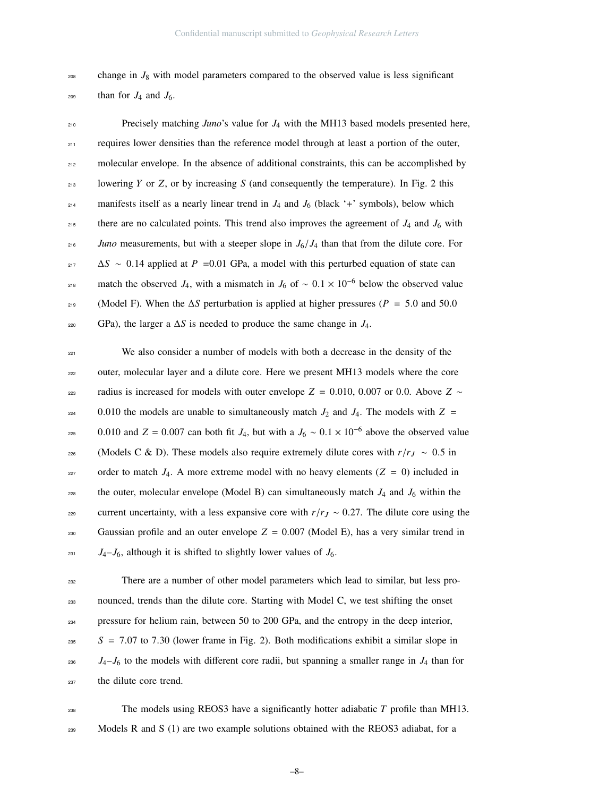$208$  change in  $J_8$  with model parameters compared to the observed value is less significant  $_{209}$  than for  $J_4$  and  $J_6$ .

<sup>210</sup> Precisely matching *Juno*'s value for *J*<sup>4</sup> with the MH13 based models presented here, <sub>211</sub> requires lower densities than the reference model through at least a portion of the outer, <sup>212</sup> molecular envelope. In the absence of additional constraints, this can be accomplished by 213 lowering *Y* or *Z*, or by increasing *S* (and consequently the temperature). In Fig. 2 this manifests itself as a nearly linear trend in  $J_4$  and  $J_6$  (black '+' symbols), below which <sup>215</sup> there are no calculated points. This trend also improves the agreement of  $J_4$  and  $J_6$  with *Juno* measurements, but with a steeper slope in  $J_6/J_4$  than that from the dilute core. For <sup>217</sup> <sup>∆</sup>*<sup>S</sup>* <sup>∼</sup> <sup>0</sup>.14 applied at *<sup>P</sup>* <sup>=</sup>0.01 GPa, a model with this perturbed equation of state can match the observed *J*<sub>4</sub>, with a mismatch in *J*<sub>6</sub> of ~  $0.1 \times 10^{-6}$  below the observed value <sup>219</sup> (Model F). When the <sup>∆</sup>*<sup>S</sup>* perturbation is applied at higher pressures (*<sup>P</sup>* <sup>=</sup> <sup>5</sup>.0 and 50.<sup>0</sup> <sup>220</sup> GPa), the larger a ∆*S* is needed to produce the same change in *J*4.

<sup>221</sup> We also consider a number of models with both a decrease in the density of the <sup>222</sup> outer, molecular layer and a dilute core. Here we present MH13 models where the core 223 radius is increased for models with outer envelope  $Z = 0.010, 0.007$  or 0.0. Above  $Z \sim$  $224$  0.010 the models are unable to simultaneously match  $J_2$  and  $J_4$ . The models with  $Z =$ 0.010 and  $Z = 0.007$  can both fit  $J_4$ , but with a  $J_6 \sim 0.1 \times 10^{-6}$  above the observed value 226 (Models C & D). These models also require extremely dilute cores with  $r/r_J \sim 0.5$  in 227 order to match  $J_4$ . A more extreme model with no heavy elements ( $Z = 0$ ) included in <sup>228</sup> the outer, molecular envelope (Model B) can simultaneously match  $J_4$  and  $J_6$  within the current uncertainty, with a less expansive core with  $r/r_J \sim 0.27$ . The dilute core using the  $_{230}$  Gaussian profile and an outer envelope  $Z = 0.007$  (Model E), has a very similar trend in  $J_4-J_6$ , although it is shifted to slightly lower values of  $J_6$ .

<sup>232</sup> There are a number of other model parameters which lead to similar, but less pro-<sup>233</sup> nounced, trends than the dilute core. Starting with Model C, we test shifting the onset <sup>234</sup> pressure for helium rain, between 50 to 200 GPa, and the entropy in the deep interior,  $S = 7.07$  to 7.30 (lower frame in Fig. 2). Both modifications exhibit a similar slope in  $J_4-J_6$  to the models with different core radii, but spanning a smaller range in  $J_4$  than for 237 the dilute core trend.

 $_{238}$  The models using REOS3 have a significantly hotter adiabatic *T* profile than MH13. 239 Models R and S  $(1)$  are two example solutions obtained with the REOS3 adiabat, for a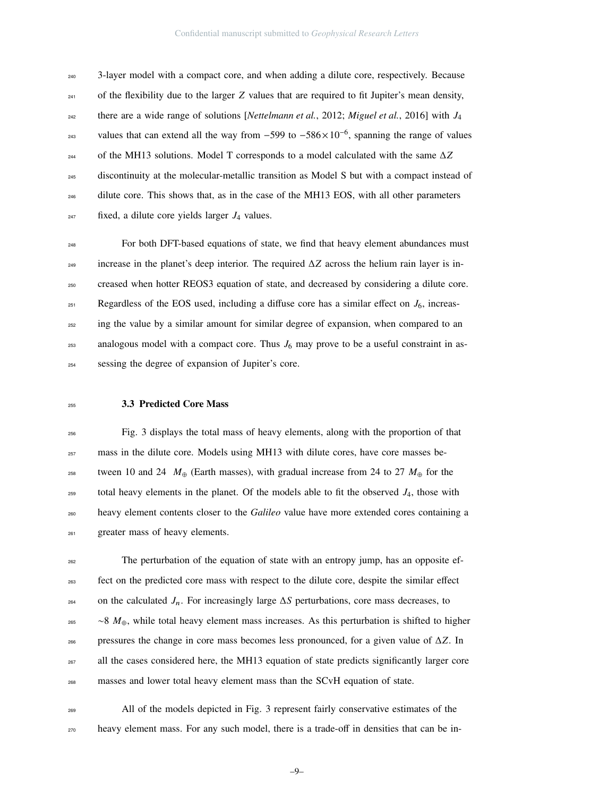3-layer model with a compact core, and when adding a dilute core, respectively. Because  $_{241}$  of the flexibility due to the larger *Z* values that are required to fit Jupiter's mean density, 242 there are a wide range of solutions [*Nettelmann et al.*, 2012; *Miguel et al.*, 2016] with  $J_4$ values that can extend all the way from  $-599$  to  $-586 \times 10^{-6}$ , spanning the range of values of the MH13 solutions. Model T corresponds to a model calculated with the same ∆*Z* discontinuity at the molecular-metallic transition as Model S but with a compact instead of <sup>246</sup> dilute core. This shows that, as in the case of the MH13 EOS, with all other parameters fixed, a dilute core yields larger  $J_4$  values.

 For both DFT-based equations of state, we find that heavy element abundances must increase in the planet's deep interior. The required ∆*Z* across the helium rain layer is in- creased when hotter REOS3 equation of state, and decreased by considering a dilute core. 251 Regardless of the EOS used, including a diffuse core has a similar effect on  $J_6$ , increas-<sub>252</sub> ing the value by a similar amount for similar degree of expansion, when compared to an 253 analogous model with a compact core. Thus  $J_6$  may prove to be a useful constraint in as-sessing the degree of expansion of Jupiter's core.

#### 3.3 Predicted Core Mass

 Fig. 3 displays the total mass of heavy elements, along with the proportion of that mass in the dilute core. Models using MH13 with dilute cores, have core masses be-<sup>258</sup> tween 10 and 24  $M_{\oplus}$  (Earth masses), with gradual increase from 24 to 27  $M_{\oplus}$  for the  $_{259}$  total heavy elements in the planet. Of the models able to fit the observed  $J_4$ , those with heavy element contents closer to the *Galileo* value have more extended cores containing a greater mass of heavy elements.

 The perturbation of the equation of state with an entropy jump, has an opposite ef- fect on the predicted core mass with respect to the dilute core, despite the similar effect on the calculated *J<sub>n</sub>*. For increasingly large Δ*S* perturbations, core mass decreases, to ∼8 *M*⊕, while total heavy element mass increases. As this perturbation is shifted to higher pressures the change in core mass becomes less pronounced, for a given value of ∆*Z*. In <sup>267</sup> all the cases considered here, the MH13 equation of state predicts significantly larger core masses and lower total heavy element mass than the SCvH equation of state.

 All of the models depicted in Fig. 3 represent fairly conservative estimates of the heavy element mass. For any such model, there is a trade-off in densities that can be in-

–9–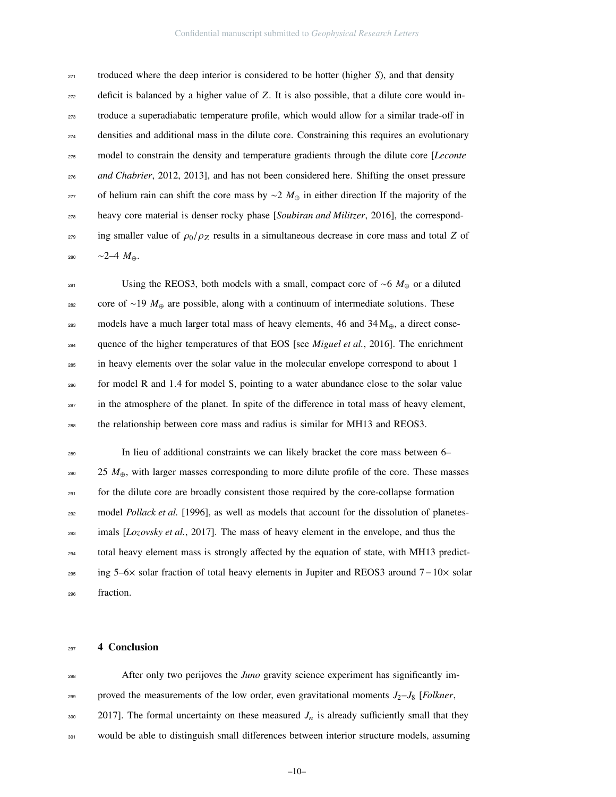troduced where the deep interior is considered to be hotter (higher *S*), and that density deficit is balanced by a higher value of *Z*. It is also possible, that a dilute core would in- troduce a superadiabatic temperature profile, which would allow for a similar trade-off in densities and additional mass in the dilute core. Constraining this requires an evolutionary model to constrain the density and temperature gradients through the dilute core [*Leconte* <sup>276</sup> *and Chabrier*, 2012, 2013], and has not been considered here. Shifting the onset pressure 277 of helium rain can shift the core mass by  $\sim$ 2  $M_{\oplus}$  in either direction If the majority of the heavy core material is denser rocky phase [*Soubiran and Militzer*, 2016], the correspond- $_{279}$  ing smaller value of  $\rho_0/\rho_Z$  results in a simultaneous decrease in core mass and total *Z* of ∼2–4 *M*⊕.

 Using the REOS3, both models with a small, compact core of ∼6 *M*<sup>⊕</sup> or a diluted core of ∼19 *M*<sup>⊕</sup> are possible, along with a continuum of intermediate solutions. These 283 models have a much larger total mass of heavy elements, 46 and 34  $M_{\oplus}$ , a direct consequence of the higher temperatures of that EOS [see *Miguel et al.*, 2016]. The enrichment in heavy elements over the solar value in the molecular envelope correspond to about 1 for model R and 1.4 for model S, pointing to a water abundance close to the solar value <sup>287</sup> in the atmosphere of the planet. In spite of the difference in total mass of heavy element, the relationship between core mass and radius is similar for MH13 and REOS3.

 In lieu of additional constraints we can likely bracket the core mass between 6– 25 *M*⊕, with larger masses corresponding to more dilute profile of the core. These masses <sup>291</sup> for the dilute core are broadly consistent those required by the core-collapse formation model *Pollack et al.* [1996], as well as models that account for the dissolution of planetes- imals [*Lozovsky et al.*, 2017]. The mass of heavy element in the envelope, and thus the total heavy element mass is strongly affected by the equation of state, with MH13 predict- ing 5–6× solar fraction of total heavy elements in Jupiter and REOS3 around 7−10× solar fraction.

#### 4 Conclusion

 After only two perijoves the *Juno* gravity science experiment has significantly im-299 proved the measurements of the low order, even gravitational moments  $J_2-J_8$  [*Folkner*, 2017]. The formal uncertainty on these measured  $J_n$  is already sufficiently small that they <sup>301</sup> would be able to distinguish small differences between interior structure models, assuming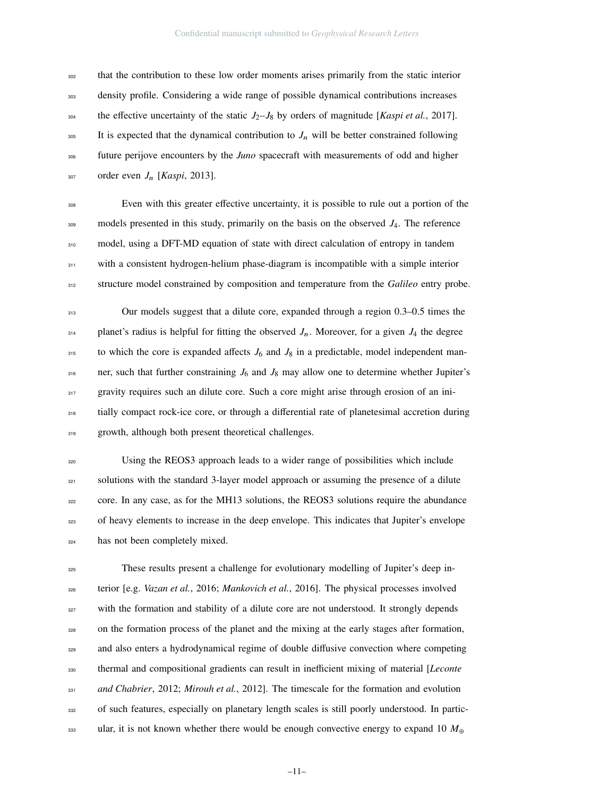that the contribution to these low order moments arises primarily from the static interior density profile. Considering a wide range of possible dynamical contributions increases the effective uncertainty of the static  $J_2-J_8$  by orders of magnitude [*Kaspi et al.*, 2017]. <sup>305</sup> It is expected that the dynamical contribution to  $J_n$  will be better constrained following future perijove encounters by the *Juno* spacecraft with measurements of odd and higher order even *J*<sup>n</sup> [*Kaspi*, 2013].

<sup>308</sup> Even with this greater effective uncertainty, it is possible to rule out a portion of the <sup>309</sup> models presented in this study, primarily on the basis on the observed *J*4. The reference 310 model, using a DFT-MD equation of state with direct calculation of entropy in tandem <sup>311</sup> with a consistent hydrogen-helium phase-diagram is incompatible with a simple interior <sup>312</sup> structure model constrained by composition and temperature from the *Galileo* entry probe.

<sup>313</sup> Our models suggest that a dilute core, expanded through a region 0.3–0.5 times the  $_{314}$  planet's radius is helpful for fitting the observed  $J_n$ . Moreover, for a given  $J_4$  the degree  $315$  to which the core is expanded affects  $J_6$  and  $J_8$  in a predictable, model independent man- $316$  ner, such that further constraining  $J_6$  and  $J_8$  may allow one to determine whether Jupiter's <sup>317</sup> gravity requires such an dilute core. Such a core might arise through erosion of an ini- $318$  tially compact rock-ice core, or through a differential rate of planetesimal accretion during 319 growth, although both present theoretical challenges.

<sup>320</sup> Using the REOS3 approach leads to a wider range of possibilities which include <sup>321</sup> solutions with the standard 3-layer model approach or assuming the presence of a dilute <sup>322</sup> core. In any case, as for the MH13 solutions, the REOS3 solutions require the abundance <sup>323</sup> of heavy elements to increase in the deep envelope. This indicates that Jupiter's envelope <sup>324</sup> has not been completely mixed.

<sup>325</sup> These results present a challenge for evolutionary modelling of Jupiter's deep in-<sup>326</sup> terior [e.g. *Vazan et al.*, 2016; *Mankovich et al.*, 2016]. The physical processes involved <sup>327</sup> with the formation and stability of a dilute core are not understood. It strongly depends <sup>328</sup> on the formation process of the planet and the mixing at the early stages after formation, <sup>329</sup> and also enters a hydrodynamical regime of double diffusive convection where competing <sup>330</sup> thermal and compositional gradients can result in inefficient mixing of material [*Leconte* <sup>331</sup> *and Chabrier*, 2012; *Mirouh et al.*, 2012]. The timescale for the formation and evolution <sup>332</sup> of such features, especially on planetary length scales is still poorly understood. In partic-<sup>333</sup> ular, it is not known whether there would be enough convective energy to expand 10  $M_{\oplus}$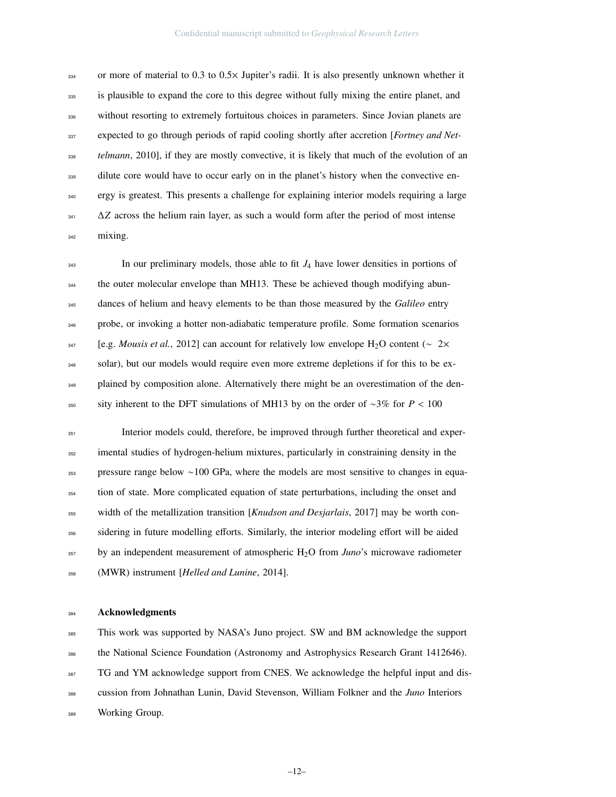or more of material to 0.3 to 0.5 $\times$  Jupiter's radii. It is also presently unknown whether it <sup>335</sup> is plausible to expand the core to this degree without fully mixing the entire planet, and <sup>336</sup> without resorting to extremely fortuitous choices in parameters. Since Jovian planets are expected to go through periods of rapid cooling shortly after accretion [*Fortney and Net- telmann*, 2010], if they are mostly convective, it is likely that much of the evolution of an <sup>339</sup> dilute core would have to occur early on in the planet's history when the convective en- ergy is greatest. This presents a challenge for explaining interior models requiring a large ∆*Z* across the helium rain layer, as such a would form after the period of most intense mixing.

<sup>343</sup> In our preliminary models, those able to fit  $J_4$  have lower densities in portions of <sup>344</sup> the outer molecular envelope than MH13. These be achieved though modifying abun- dances of helium and heavy elements to be than those measured by the *Galileo* entry probe, or invoking a hotter non-adiabatic temperature profile. Some formation scenarios [e.g. *Mousis et al.*, 2012] can account for relatively low envelope H2O content (∼ 2× solar), but our models would require even more extreme depletions if for this to be ex-<sup>349</sup> plained by composition alone. Alternatively there might be an overestimation of the den-sity inherent to the DFT simulations of MH13 by on the order of <sup>∼</sup>3% for *<sup>P</sup>* < <sup>100</sup>

 Interior models could, therefore, be improved through further theoretical and exper-<sup>352</sup> imental studies of hydrogen-helium mixtures, particularly in constraining density in the pressure range below ∼100 GPa, where the models are most sensitive to changes in equa-<sup>354</sup> tion of state. More complicated equation of state perturbations, including the onset and width of the metallization transition [*Knudson and Desjarlais*, 2017] may be worth considering in future modelling efforts. Similarly, the interior modeling effort will be aided by an independent measurement of atmospheric H2O from *Juno*'s microwave radiometer (MWR) instrument [*Helled and Lunine*, 2014].

#### Acknowledgments

 This work was supported by NASA's Juno project. SW and BM acknowledge the support 386 the National Science Foundation (Astronomy and Astrophysics Research Grant 1412646). <sup>387</sup> TG and YM acknowledge support from CNES. We acknowledge the helpful input and dis- cussion from Johnathan Lunin, David Stevenson, William Folkner and the *Juno* Interiors Working Group.

–12–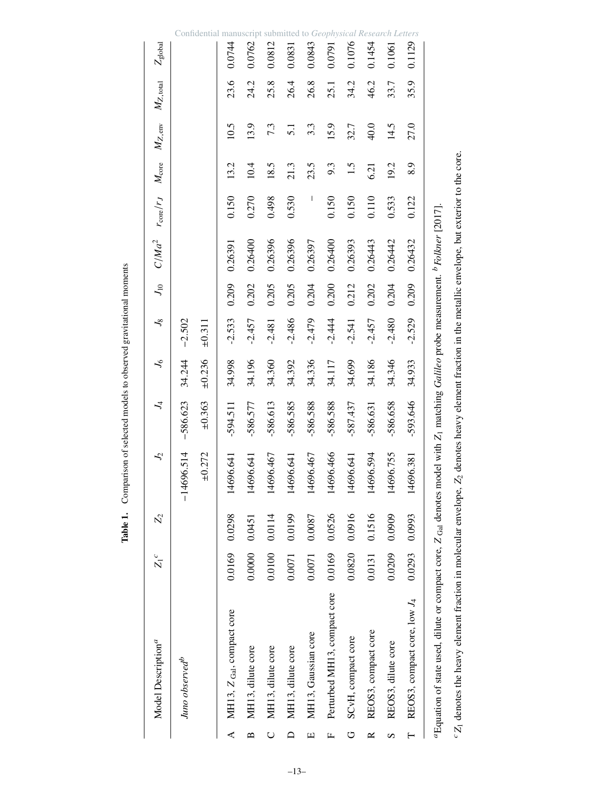|               | Model Description <sup>a</sup>                                        | $Z_1^c$ | $Z_{2}$ | $J_2$                                | $\mathcal{L}_4$                                                                           | $\lambda_{\rm 6}$ | $J_8$       | $J_{10}$ |         | $C/Ma^2$ $r_{\text{core}}/r_J$ $M_{\text{core}}$ |      | $M_{Z,\rm{env}}$ | $M_{Z,\rm total}$ | $Z_{\rm global}$ |
|---------------|-----------------------------------------------------------------------|---------|---------|--------------------------------------|-------------------------------------------------------------------------------------------|-------------------|-------------|----------|---------|--------------------------------------------------|------|------------------|-------------------|------------------|
|               | Juno observed <sup>b</sup>                                            |         |         | 4696.514<br>$\overline{\phantom{a}}$ | $-586.623$                                                                                | 34.244            | $-2.502$    |          |         |                                                  |      |                  |                   |                  |
|               |                                                                       |         |         | $\pm 0.272$                          | ±0.363                                                                                    | ±0.236            | $\pm 0.311$ |          |         |                                                  |      |                  |                   |                  |
| ⋖             | MH13, Z Gal, compact core                                             | 0.0169  | 0.0298  | 4696.641                             | $-594.511$                                                                                | 34.998            | $-2.533$    | 0.209    | 0.26391 | 0.150                                            | 13.2 | 10.5             | 23.6              | 0.0744           |
| $\mathbf{a}$  | MH13, dilute core                                                     | 0.0000  | 0.0451  | 4696.641                             | -586.577                                                                                  | 34.196            | $-2.457$    | 0.202    | 0.26400 | 0.270                                            | 10.4 | 13.9             | 24.2              | 0.0762           |
|               | MH13, dilute core                                                     | 0.0100  | 0.0114  | 4696.467                             | $-586.613$                                                                                | 34.360            | $-2.481$    | 0.205    | 0.26396 | 0.498                                            | 18.5 | 7.3              | 25.8              | 0.0812           |
|               | MH13, dilute core                                                     | 0.0071  | 0.0199  | 4696.641                             | $-586.585$                                                                                | 34.392            | $-2.486$    | 0.205    | 0.26396 | 0.530                                            | 21.3 | $\overline{5.1}$ | 26.4              | 0.0831           |
| ш             | MH13, Gaussian core                                                   | 0.0071  | 0.0087  | 4696.467                             | -586.588                                                                                  | 34.336            | $-2.479$    | 0.204    | 0.26397 | I                                                | 23.5 | 3.3              | 26.8              | 0.0843           |
| щ             | Perturbed MH13, compact core                                          | 0.0169  | 0.0526  | 4696.466                             | -586.588                                                                                  | 34.117            | $-2.444$    | 0.200    | 0.26400 | 0.150                                            | 9.3  | 15.9             | 25.1              | 0.0791           |
| ڻ             | SCvH, compact core                                                    | 0.0820  | 0.0916  | 4696.641                             | $-587.437$                                                                                | 34.699            | $-2.541$    | 0.212    | 0.26393 | 0.150                                            | 1.5  | 32.7             | 34.2              | 0.1076           |
| $\approx$     | REOS3, compact core                                                   | 0.0131  | 0.1516  | 4696.594                             | $-586,631$                                                                                | 34.186            | $-2.457$    | 0.202    | 0.26443 | 0.110                                            | 6.21 | 40.0             | 46.2              | 0.1454           |
| $\mathcal{D}$ | REOS3, dilute core                                                    | 0.0209  | 0.0909  | 4696.755                             | -586.658                                                                                  | 34.346            | $-2.480$    | 0.204    | 0.26442 | 0.533                                            | 19.2 | 14.5             | 33.7              | 0.1061           |
|               | REOS3, compact core, low $J_4$                                        | 0.0293  | 0.0993  | 4696.381                             | $-593.646$                                                                                | 34.933            | $-2.529$    | 0.209    | 0.26432 | 0.122                                            | 8.9  | 27.0             | 35.9              | 0.1129           |
|               | $a$ Equation of state used, dilute or compact core, $Z_{Gal}$ denotes |         |         |                                      | model with Z <sub>1</sub> matching Galileo probe measurement. <sup>b</sup> Folkner [2017] |                   |             |          |         |                                                  |      |                  |                   |                  |

 ${}^{\circ}Z_1$  denotes the heavy element fraction in molecular envelope,  $Z_2$  denotes heavy element fraction in the metallic envelope, but exterior to the core.

*Z*2 denotes heavy element fraction in the metallic envelope, but exterior to the core.

*Z*1 denotes the heavy element fraction in molecular envelope,

Table 1. Comparison of selected models to observed gravitational moments Table 1. Comparison of selected models to observed gravitational moments

–13–

Confidential manuscript submitted to *Geophysical Research Letters*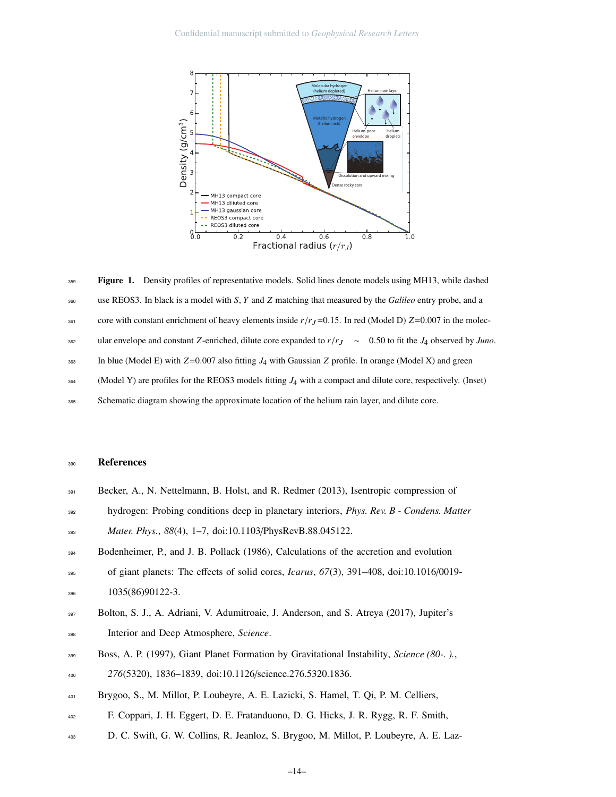

Figure 1. Density profiles of representative models. Solid lines denote models using MH13, while dashed use REOS3. In black is a model with *S*, *Y* and *Z* matching that measured by the *Galileo* entry probe, and a core with constant enrichment of heavy elements inside  $r/r_J$ =0.15. In red (Model D)  $Z=0.007$  in the molecular envelope and constant *<sup>Z</sup>*-enriched, dilute core expanded to *<sup>r</sup>*/*r*<sup>J</sup> <sup>∼</sup> <sup>0</sup>.50 to fit the *<sup>J</sup>*<sup>4</sup> observed by *Juno*. In blue (Model E) with *<sup>Z</sup>*=0.007 also fitting *<sup>J</sup>*<sup>4</sup> with Gaussian *<sup>Z</sup>* profile. In orange (Model X) and green (Model Y) are profiles for the REOS3 models fitting *J*4 with a compact and dilute core, respectively. (Inset) Schematic diagram showing the approximate location of the helium rain layer, and dilute core. 359 360 361 362 363 364 365

#### <sup>390</sup> References

- <sup>391</sup> Becker, A., N. Nettelmann, B. Holst, and R. Redmer (2013), Isentropic compression of
- <sup>392</sup> hydrogen: Probing conditions deep in planetary interiors, *Phys. Rev. B Condens. Matter*

<sup>393</sup> *Mater. Phys.*, *88*(4), 1–7, doi:10.1103/PhysRevB.88.045122.

- <sup>394</sup> Bodenheimer, P., and J. B. Pollack (1986), Calculations of the accretion and evolution
- <sup>395</sup> of giant planets: The effects of solid cores, *Icarus*, *67*(3), 391–408, doi:10.1016/0019- <sup>396</sup> 1035(86)90122-3.
- <sup>397</sup> Bolton, S. J., A. Adriani, V. Adumitroaie, J. Anderson, and S. Atreya (2017), Jupiter's <sup>398</sup> Interior and Deep Atmosphere, *Science*.
- <sup>399</sup> Boss, A. P. (1997), Giant Planet Formation by Gravitational Instability, *Science (80-. ).*, <sup>400</sup> *276*(5320), 1836–1839, doi:10.1126/science.276.5320.1836.
- <sup>401</sup> Brygoo, S., M. Millot, P. Loubeyre, A. E. Lazicki, S. Hamel, T. Qi, P. M. Celliers,
- <sup>402</sup> F. Coppari, J. H. Eggert, D. E. Fratanduono, D. G. Hicks, J. R. Rygg, R. F. Smith,
- <sup>403</sup> D. C. Swift, G. W. Collins, R. Jeanloz, S. Brygoo, M. Millot, P. Loubeyre, A. E. Laz-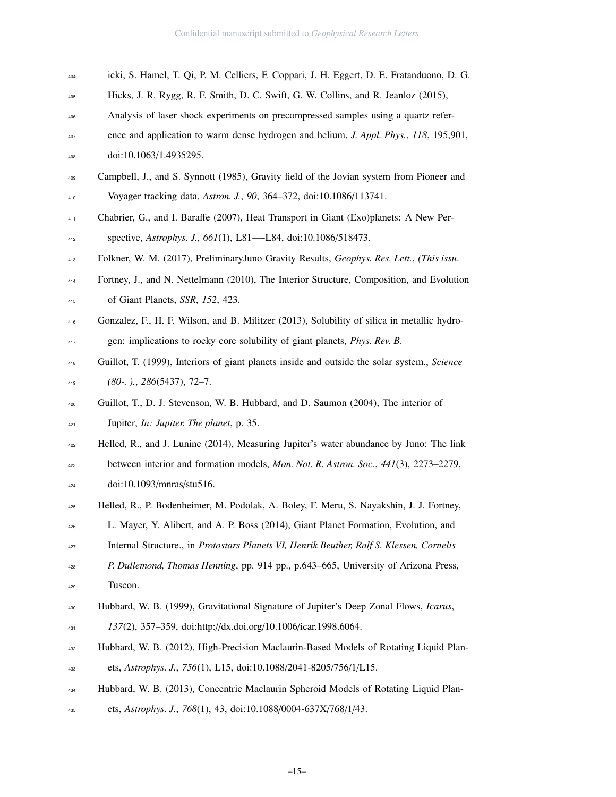- icki, S. Hamel, T. Qi, P. M. Celliers, F. Coppari, J. H. Eggert, D. E. Fratanduono, D. G.
- Hicks, J. R. Rygg, R. F. Smith, D. C. Swift, G. W. Collins, and R. Jeanloz (2015),
- Analysis of laser shock experiments on precompressed samples using a quartz refer-
- ence and application to warm dense hydrogen and helium, *J. Appl. Phys.*, *118*, 195,901,
- doi:10.1063/1.4935295.
- Campbell, J., and S. Synnott (1985), Gravity field of the Jovian system from Pioneer and Voyager tracking data, *Astron. J.*, *90*, 364–372, doi:10.1086/113741.
- Chabrier, G., and I. Baraffe (2007), Heat Transport in Giant (Exo)planets: A New Per-

spective, *Astrophys. J.*, *661*(1), L81—-L84, doi:10.1086/518473.

- Folkner, W. M. (2017), PreliminaryJuno Gravity Results, *Geophys. Res. Lett.*, *(This issu*.
- Fortney, J., and N. Nettelmann (2010), The Interior Structure, Composition, and Evolution of Giant Planets, *SSR*, *152*, 423.
- Gonzalez, F., H. F. Wilson, and B. Militzer (2013), Solubility of silica in metallic hydro-
- gen: implications to rocky core solubility of giant planets, *Phys. Rev. B*.
- Guillot, T. (1999), Interiors of giant planets inside and outside the solar system., *Science (80-. ).*, *286*(5437), 72–7.
- Guillot, T., D. J. Stevenson, W. B. Hubbard, and D. Saumon (2004), The interior of Jupiter, *In: Jupiter. The planet*, p. 35.
- Helled, R., and J. Lunine (2014), Measuring Jupiter's water abundance by Juno: The link
- between interior and formation models, *Mon. Not. R. Astron. Soc.*, *441*(3), 2273–2279, doi:10.1093/mnras/stu516.
- Helled, R., P. Bodenheimer, M. Podolak, A. Boley, F. Meru, S. Nayakshin, J. J. Fortney,
- L. Mayer, Y. Alibert, and A. P. Boss (2014), Giant Planet Formation, Evolution, and
- Internal Structure., in *Protostars Planets VI, Henrik Beuther, Ralf S. Klessen, Cornelis*
- *P. Dullemond, Thomas Henning*, pp. 914 pp., p.643–665, University of Arizona Press,
- Tuscon.
- Hubbard, W. B. (1999), Gravitational Signature of Jupiter's Deep Zonal Flows, *Icarus*,
- *137*(2), 357–359, doi:http://dx.doi.org/10.1006/icar.1998.6064.
- Hubbard, W. B. (2012), High-Precision Maclaurin-Based Models of Rotating Liquid Plan-
- ets, *Astrophys. J.*, *756*(1), L15, doi:10.1088/2041-8205/756/1/L15.
- Hubbard, W. B. (2013), Concentric Maclaurin Spheroid Models of Rotating Liquid Plan-
- ets, *Astrophys. J.*, *768*(1), 43, doi:10.1088/0004-637X/768/1/43.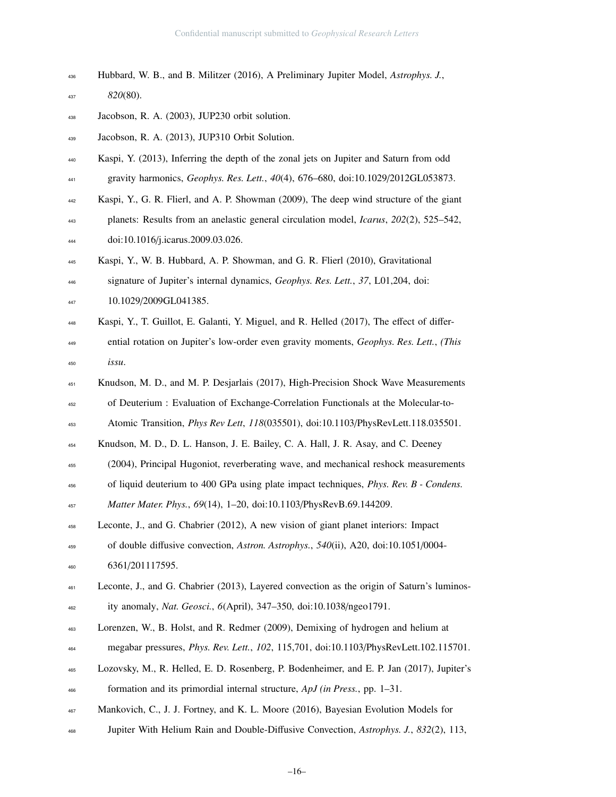| 436 | Hubbard, W. B., and B. Militzer (2016), A Preliminary Jupiter Model, <i>Astrophys. J.</i> , |
|-----|---------------------------------------------------------------------------------------------|
| 437 | $820(80)$ .                                                                                 |
| 438 | Jacobson, R. A. (2003), JUP230 orbit solution.                                              |
| 439 | Jacobson, R. A. (2013), JUP310 Orbit Solution.                                              |
| 440 | Kaspi, Y. (2013), Inferring the depth of the zonal jets on Jupiter and Saturn from odd      |

gravity harmonics, *Geophys. Res. Lett.*, *40*(4), 676–680, doi:10.1029/2012GL053873.

Kaspi, Y., G. R. Flierl, and A. P. Showman (2009), The deep wind structure of the giant

 planets: Results from an anelastic general circulation model, *Icarus*, *202*(2), 525–542, doi:10.1016/j.icarus.2009.03.026.

Kaspi, Y., W. B. Hubbard, A. P. Showman, and G. R. Flierl (2010), Gravitational

- signature of Jupiter's internal dynamics, *Geophys. Res. Lett.*, *37*, L01,204, doi:
- 447 10.1029/2009GL041385.
- Kaspi, Y., T. Guillot, E. Galanti, Y. Miguel, and R. Helled (2017), The effect of differ- ential rotation on Jupiter's low-order even gravity moments, *Geophys. Res. Lett.*, *(This issu*.
- Knudson, M. D., and M. P. Desjarlais (2017), High-Precision Shock Wave Measurements of Deuterium : Evaluation of Exchange-Correlation Functionals at the Molecular-to-

Atomic Transition, *Phys Rev Lett*, *118*(035501), doi:10.1103/PhysRevLett.118.035501.

Knudson, M. D., D. L. Hanson, J. E. Bailey, C. A. Hall, J. R. Asay, and C. Deeney

(2004), Principal Hugoniot, reverberating wave, and mechanical reshock measurements

of liquid deuterium to 400 GPa using plate impact techniques, *Phys. Rev. B - Condens.*

*Matter Mater. Phys.*, *69*(14), 1–20, doi:10.1103/PhysRevB.69.144209.

 Leconte, J., and G. Chabrier (2012), A new vision of giant planet interiors: Impact of double diffusive convection, *Astron. Astrophys.*, *540*(ii), A20, doi:10.1051/0004- 460 6361/201117595.

- megabar pressures, *Phys. Rev. Lett.*, *102*, 115,701, doi:10.1103/PhysRevLett.102.115701.
- Lozovsky, M., R. Helled, E. D. Rosenberg, P. Bodenheimer, and E. P. Jan (2017), Jupiter's formation and its primordial internal structure, *ApJ (in Press.*, pp. 1–31.
- Mankovich, C., J. J. Fortney, and K. L. Moore (2016), Bayesian Evolution Models for
- Jupiter With Helium Rain and Double-Diffusive Convection, *Astrophys. J.*, *832*(2), 113,

 Leconte, J., and G. Chabrier (2013), Layered convection as the origin of Saturn's luminos-ity anomaly, *Nat. Geosci.*, *6*(April), 347–350, doi:10.1038/ngeo1791.

Lorenzen, W., B. Holst, and R. Redmer (2009), Demixing of hydrogen and helium at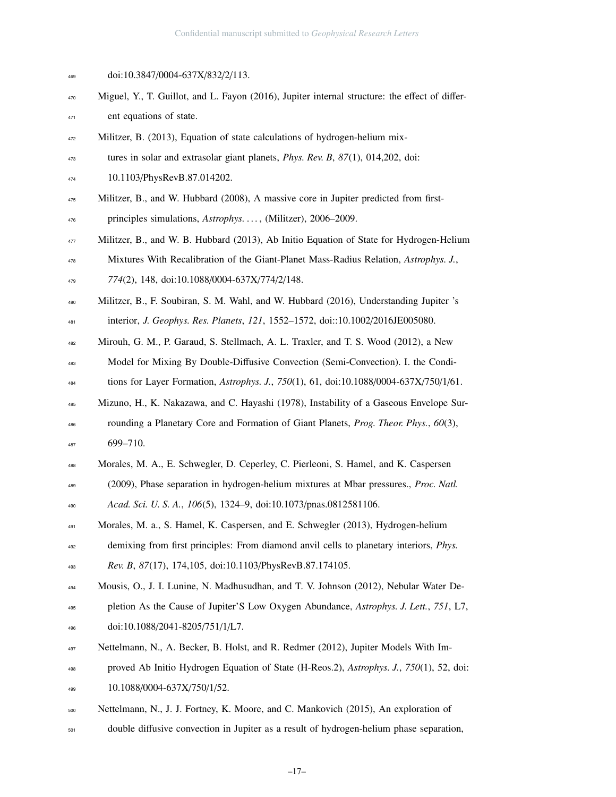| 469 | doi:10.3847/0004-637X/832/2/113.                                                               |
|-----|------------------------------------------------------------------------------------------------|
| 470 | Miguel, Y., T. Guillot, and L. Fayon (2016), Jupiter internal structure: the effect of differ- |
| 471 | ent equations of state.                                                                        |
| 472 | Militzer, B. (2013), Equation of state calculations of hydrogen-helium mix-                    |
| 473 | tures in solar and extrasolar giant planets, <i>Phys. Rev. B</i> , $87(1)$ , $014,202$ , doi:  |
| 474 | 10.1103/PhysRevB.87.014202.                                                                    |
| 475 | Militzer, B., and W. Hubbard (2008), A massive core in Jupiter predicted from first-           |
| 476 | principles simulations, Astrophys. , (Militzer), 2006–2009.                                    |
| 477 | Militzer, B., and W. B. Hubbard (2013), Ab Initio Equation of State for Hydrogen-Helium        |
| 478 | Mixtures With Recalibration of the Giant-Planet Mass-Radius Relation, Astrophys. J.,           |
| 479 | 774(2), 148, doi:10.1088/0004-637X/774/2/148.                                                  |
| 480 | Militzer, B., F. Soubiran, S. M. Wahl, and W. Hubbard (2016), Understanding Jupiter 's         |
| 481 | interior, J. Geophys. Res. Planets, 121, 1552-1572, doi::10.1002/2016JE005080.                 |
| 482 | Mirouh, G. M., P. Garaud, S. Stellmach, A. L. Traxler, and T. S. Wood (2012), a New            |
| 483 | Model for Mixing By Double-Diffusive Convection (Semi-Convection). I. the Condi-               |
| 484 | tions for Layer Formation, Astrophys. J., 750(1), 61, doi:10.1088/0004-637X/750/1/61.          |
| 485 | Mizuno, H., K. Nakazawa, and C. Hayashi (1978), Instability of a Gaseous Envelope Sur-         |
| 486 | rounding a Planetary Core and Formation of Giant Planets, Prog. Theor. Phys., 60(3),           |
| 487 | 699-710.                                                                                       |
| 488 | Morales, M. A., E. Schwegler, D. Ceperley, C. Pierleoni, S. Hamel, and K. Caspersen            |
| 489 | (2009), Phase separation in hydrogen-helium mixtures at Mbar pressures., Proc. Natl.           |
| 490 | Acad. Sci. U. S. A., 106(5), 1324-9, doi:10.1073/pnas.0812581106.                              |
| 491 | Morales, M. a., S. Hamel, K. Caspersen, and E. Schwegler (2013), Hydrogen-helium               |
| 492 | demixing from first principles: From diamond anvil cells to planetary interiors, <i>Phys.</i>  |
| 493 | Rev. B, 87(17), 174, 105, doi:10.1103/PhysRevB.87.174105.                                      |
| 494 | Mousis, O., J. I. Lunine, N. Madhusudhan, and T. V. Johnson (2012), Nebular Water De-          |
| 495 | pletion As the Cause of Jupiter'S Low Oxygen Abundance, Astrophys. J. Lett., 751, L7,          |
| 496 | doi:10.1088/2041-8205/751/1/L7.                                                                |
| 497 | Nettelmann, N., A. Becker, B. Holst, and R. Redmer (2012), Jupiter Models With Im-             |
| 498 | proved Ab Initio Hydrogen Equation of State (H-Reos.2), Astrophys. J., 750(1), 52, doi:        |
| 499 | 10.1088/0004-637X/750/1/52.                                                                    |
| 500 | Nettelmann, N., J. J. Fortney, K. Moore, and C. Mankovich (2015), An exploration of            |

double diffusive convection in Jupiter as a result of hydrogen-helium phase separation,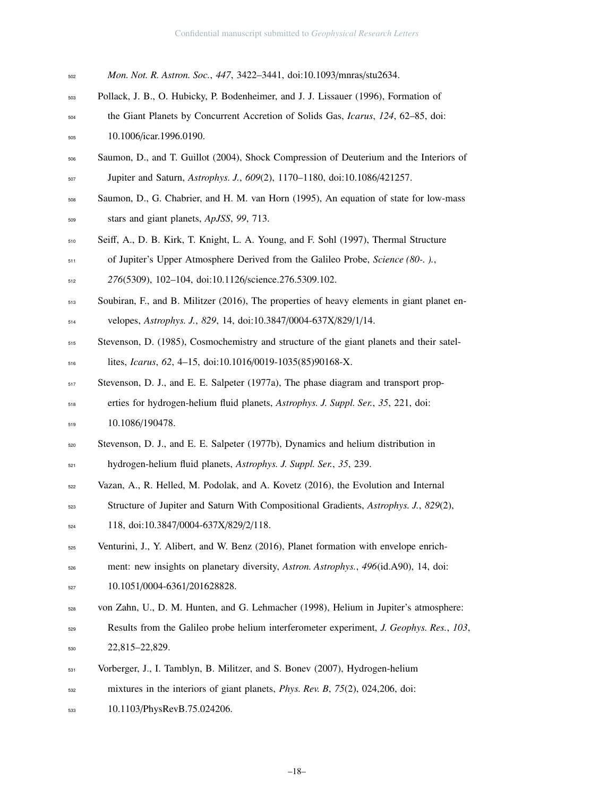- *Mon. Not. R. Astron. Soc.*, *447*, 3422–3441, doi:10.1093/mnras/stu2634.
- Pollack, J. B., O. Hubicky, P. Bodenheimer, and J. J. Lissauer (1996), Formation of
- the Giant Planets by Concurrent Accretion of Solids Gas, *Icarus*, *124*, 62–85, doi: 10.1006/icar.1996.0190.
- Saumon, D., and T. Guillot (2004), Shock Compression of Deuterium and the Interiors of Jupiter and Saturn, *Astrophys. J.*, *609*(2), 1170–1180, doi:10.1086/421257.
- Saumon, D., G. Chabrier, and H. M. van Horn (1995), An equation of state for low-mass stars and giant planets, *ApJSS*, *99*, 713.
- Seiff, A., D. B. Kirk, T. Knight, L. A. Young, and F. Sohl (1997), Thermal Structure of Jupiter's Upper Atmosphere Derived from the Galileo Probe, *Science (80-. ).*,
- *276*(5309), 102–104, doi:10.1126/science.276.5309.102.
- Soubiran, F., and B. Militzer (2016), The properties of heavy elements in giant planet en-velopes, *Astrophys. J.*, *829*, 14, doi:10.3847/0004-637X/829/1/14.
- Stevenson, D. (1985), Cosmochemistry and structure of the giant planets and their satel-
- lites, *Icarus*, *62*, 4–15, doi:10.1016/0019-1035(85)90168-X.
- Stevenson, D. J., and E. E. Salpeter (1977a), The phase diagram and transport prop-

 erties for hydrogen-helium fluid planets, *Astrophys. J. Suppl. Ser.*, *35*, 221, doi: 519 10.1086/190478.

- Stevenson, D. J., and E. E. Salpeter (1977b), Dynamics and helium distribution in
- hydrogen-helium fluid planets, *Astrophys. J. Suppl. Ser.*, *35*, 239.
- Vazan, A., R. Helled, M. Podolak, and A. Kovetz (2016), the Evolution and Internal
- Structure of Jupiter and Saturn With Compositional Gradients, *Astrophys. J.*, *829*(2),
- 118, doi:10.3847/0004-637X/829/2/118.
- 525 Venturini, J., Y. Alibert, and W. Benz (2016), Planet formation with envelope enrich-
- ment: new insights on planetary diversity, *Astron. Astrophys.*, *496*(id.A90), 14, doi:
- 10.1051/0004-6361/201628828.

von Zahn, U., D. M. Hunten, and G. Lehmacher (1998), Helium in Jupiter's atmosphere:

- Results from the Galileo probe helium interferometer experiment, *J. Geophys. Res.*, *103*,
- 22,815–22,829.
- Vorberger, J., I. Tamblyn, B. Militzer, and S. Bonev (2007), Hydrogen-helium
- mixtures in the interiors of giant planets, *Phys. Rev. B*, *75*(2), 024,206, doi:
- 10.1103/PhysRevB.75.024206.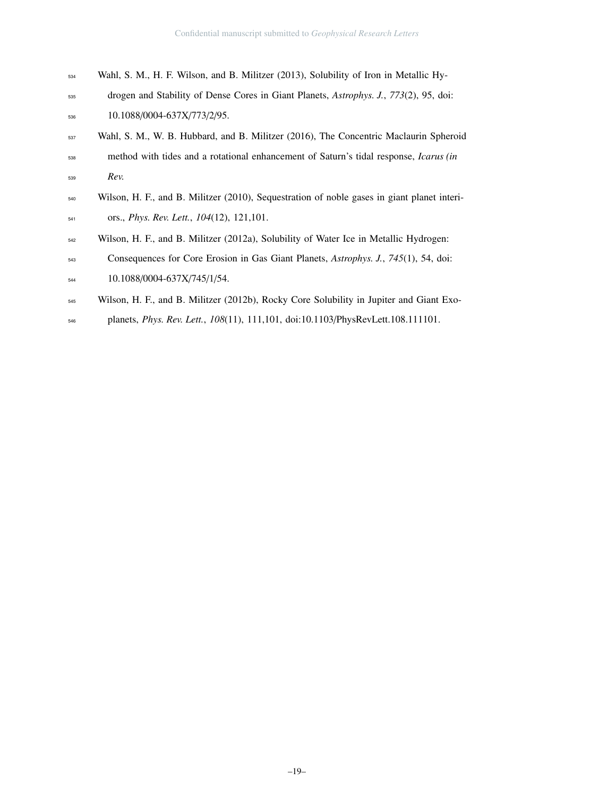- Wahl, S. M., H. F. Wilson, and B. Militzer (2013), Solubility of Iron in Metallic Hy-
- drogen and Stability of Dense Cores in Giant Planets, *Astrophys. J.*, *773*(2), 95, doi:
- 10.1088/0004-637X/773/2/95.
- Wahl, S. M., W. B. Hubbard, and B. Militzer (2016), The Concentric Maclaurin Spheroid method with tides and a rotational enhancement of Saturn's tidal response, *Icarus (in Rev.*
- Wilson, H. F., and B. Militzer (2010), Sequestration of noble gases in giant planet interi-ors., *Phys. Rev. Lett.*, *104*(12), 121,101.
- Wilson, H. F., and B. Militzer (2012a), Solubility of Water Ice in Metallic Hydrogen:
- Consequences for Core Erosion in Gas Giant Planets, *Astrophys. J.*, *745*(1), 54, doi: 10.1088/0004-637X/745/1/54.
- Wilson, H. F., and B. Militzer (2012b), Rocky Core Solubility in Jupiter and Giant Exo-
- planets, *Phys. Rev. Lett.*, *108*(11), 111,101, doi:10.1103/PhysRevLett.108.111101.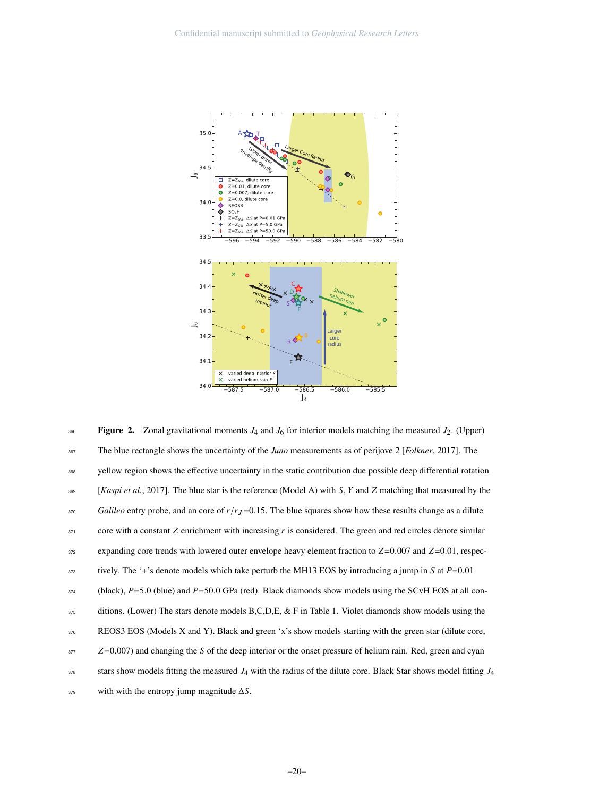

Figure 2. Zonal gravitational moments  $J_4$  and  $J_6$  for interior models matching the measured  $J_2$ . (Upper) The blue rectangle shows the uncertainty of the *Juno* measurements as of perijove 2 [*Folkner*, 2017]. The yellow region shows the effective uncertainty in the static contribution due possible deep differential rotation [*Kaspi et al.*, 2017]. The blue star is the reference (Model A) with *S*, *Y* and *Z* matching that measured by the *Galileo* entry probe, and an core of  $r/r_J$ =0.15. The blue squares show how these results change as a dilute core with a constant *Z* enrichment with increasing *r* is considered. The green and red circles denote similar expanding core trends with lowered outer envelope heavy element fraction to *<sup>Z</sup>*=0.007 and *<sup>Z</sup>*=0.01, respectively. The '+'s denote models which take perturb the MH13 EOS by introducing a jump in *<sup>S</sup>* at *<sup>P</sup>*=0.<sup>01</sup> (black), *<sup>P</sup>*=5.0 (blue) and *<sup>P</sup>*=50.0 GPa (red). Black diamonds show models using the SCvH EOS at all conditions. (Lower) The stars denote models B,C,D,E, & F in Table 1. Violet diamonds show models using the REOS3 EOS (Models X and Y). Black and green 'x's show models starting with the green star (dilute core, *<sup>Z</sup>*=0.007) and changing the *<sup>S</sup>* of the deep interior or the onset pressure of helium rain. Red, green and cyan stars show models fitting the measured  $J_4$  with the radius of the dilute core. Black Star shows model fitting  $J_4$ with with the entropy jump magnitude ∆*S*. 366 367 368 369 370 371 372 373 374 375 376 377 378 379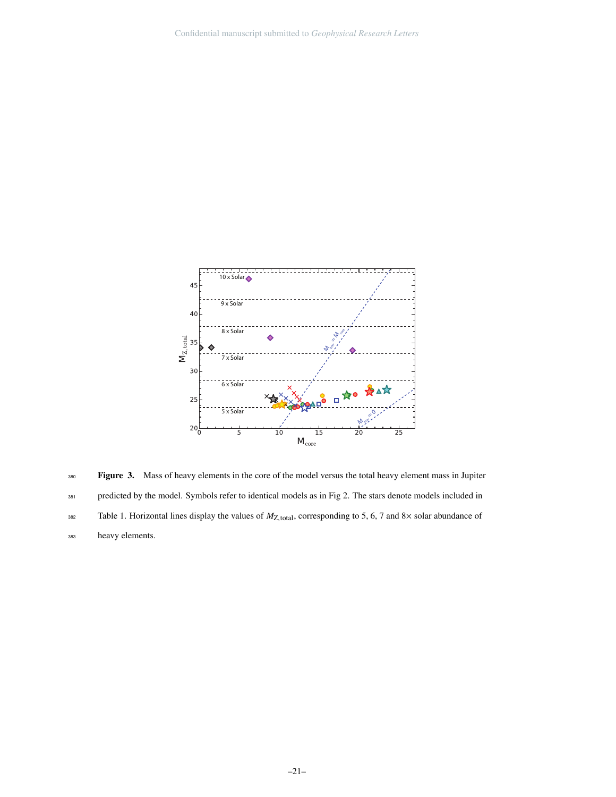

Figure 3. Mass of heavy elements in the core of the model versus the total heavy element mass in Jupiter predicted by the model. Symbols refer to identical models as in Fig 2. The stars denote models included in Table 1. Horizontal lines display the values of  $M_{Z, \text{total}}$ , corresponding to 5, 6, 7 and 8× solar abundance of heavy elements. 380 381 382 383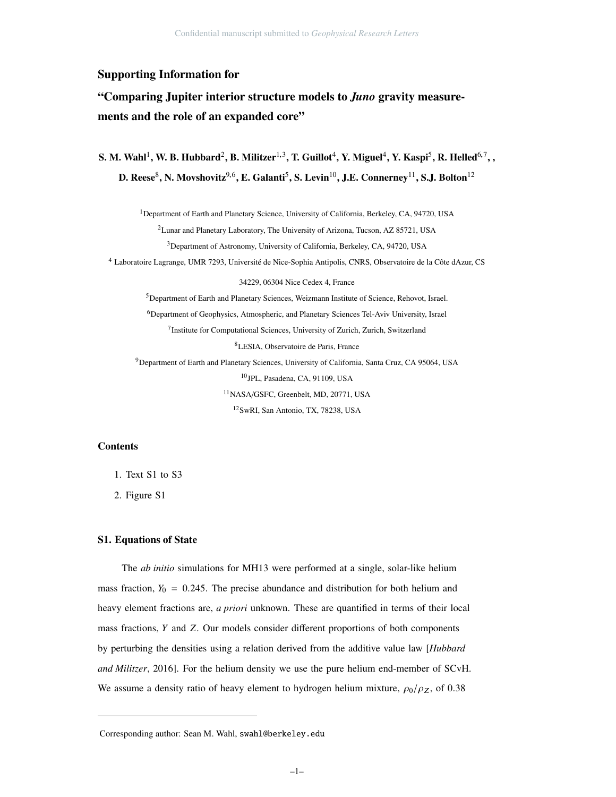#### Supporting Information for

## "Comparing Jupiter interior structure models to *Juno* gravity measurements and the role of an expanded core"

S. M. Wahl $^1$ , W. B. Hubbard $^2$ , B. Militzer $^{1,3}$ , T. Guillot $^4$ , Y. Miguel $^4$ , Y. Kaspi $^5$ , R. Helled $^{6,7}$ , , D. Reese $^8$ , N. Movshovitz $^{9,6}$ , E. Galanti $^5$ , S. Levin $^{10}$ , J.E. Connerney $^{11}$ , S.J. Bolton $^{12}$ 

<sup>1</sup>Department of Earth and Planetary Science, University of California, Berkeley, CA, 94720, USA

<sup>2</sup> Lunar and Planetary Laboratory, The University of Arizona, Tucson, AZ 85721, USA

<sup>3</sup>Department of Astronomy, University of California, Berkeley, CA, 94720, USA

<sup>4</sup> Laboratoire Lagrange, UMR 7293, Université de Nice-Sophia Antipolis, CNRS, Observatoire de la Côte dAzur, CS

34229, 06304 Nice Cedex 4, France

<sup>5</sup>Department of Earth and Planetary Sciences, Weizmann Institute of Science, Rehovot, Israel.

<sup>6</sup>Department of Geophysics, Atmospheric, and Planetary Sciences Tel-Aviv University, Israel

<sup>7</sup> Institute for Computational Sciences, University of Zurich, Zurich, Switzerland

<sup>8</sup>LESIA, Observatoire de Paris, France

<sup>9</sup>Department of Earth and Planetary Sciences, University of California, Santa Cruz, CA 95064, USA <sup>10</sup>JPL, Pasadena, CA, 91109, USA

<sup>11</sup>NASA/GSFC, Greenbelt, MD, 20771, USA

<sup>12</sup>SwRI, San Antonio, TX, 78238, USA

#### **Contents**

- 1. Text S1 to S3
- 2. Figure S1

#### S1. Equations of State

The *ab initio* simulations for MH13 were performed at a single, solar-like helium mass fraction,  $Y_0 = 0.245$ . The precise abundance and distribution for both helium and heavy element fractions are, *a priori* unknown. These are quantified in terms of their local mass fractions, *Y* and *Z*. Our models consider different proportions of both components by perturbing the densities using a relation derived from the additive value law [*Hubbard and Militzer*, 2016]. For the helium density we use the pure helium end-member of SCvH. We assume a density ratio of heavy element to hydrogen helium mixture,  $\rho_0/\rho_Z$ , of 0.38

Corresponding author: Sean M. Wahl, swahl@berkeley.edu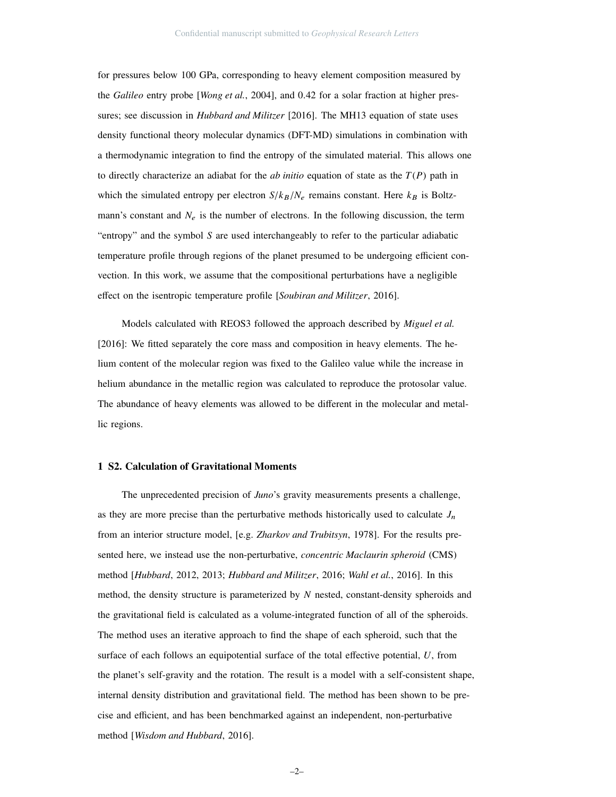for pressures below 100 GPa, corresponding to heavy element composition measured by the *Galileo* entry probe [*Wong et al.*, 2004], and 0.42 for a solar fraction at higher pressures; see discussion in *Hubbard and Militzer* [2016]. The MH13 equation of state uses density functional theory molecular dynamics (DFT-MD) simulations in combination with a thermodynamic integration to find the entropy of the simulated material. This allows one to directly characterize an adiabat for the *ab initio* equation of state as the *T*(*P*) path in which the simulated entropy per electron  $S/k_B/N_e$  remains constant. Here  $k_B$  is Boltzmann's constant and  $N_e$  is the number of electrons. In the following discussion, the term "entropy" and the symbol *S* are used interchangeably to refer to the particular adiabatic temperature profile through regions of the planet presumed to be undergoing efficient convection. In this work, we assume that the compositional perturbations have a negligible effect on the isentropic temperature profile [*Soubiran and Militzer*, 2016].

Models calculated with REOS3 followed the approach described by *Miguel et al.* [2016]: We fitted separately the core mass and composition in heavy elements. The helium content of the molecular region was fixed to the Galileo value while the increase in helium abundance in the metallic region was calculated to reproduce the protosolar value. The abundance of heavy elements was allowed to be different in the molecular and metallic regions.

#### 1 S2. Calculation of Gravitational Moments

The unprecedented precision of *Juno*'s gravity measurements presents a challenge, as they are more precise than the perturbative methods historically used to calculate  $J_n$ from an interior structure model, [e.g. *Zharkov and Trubitsyn*, 1978]. For the results presented here, we instead use the non-perturbative, *concentric Maclaurin spheroid* (CMS) method [*Hubbard*, 2012, 2013; *Hubbard and Militzer*, 2016; *Wahl et al.*, 2016]. In this method, the density structure is parameterized by *N* nested, constant-density spheroids and the gravitational field is calculated as a volume-integrated function of all of the spheroids. The method uses an iterative approach to find the shape of each spheroid, such that the surface of each follows an equipotential surface of the total effective potential, *U*, from the planet's self-gravity and the rotation. The result is a model with a self-consistent shape, internal density distribution and gravitational field. The method has been shown to be precise and efficient, and has been benchmarked against an independent, non-perturbative method [*Wisdom and Hubbard*, 2016].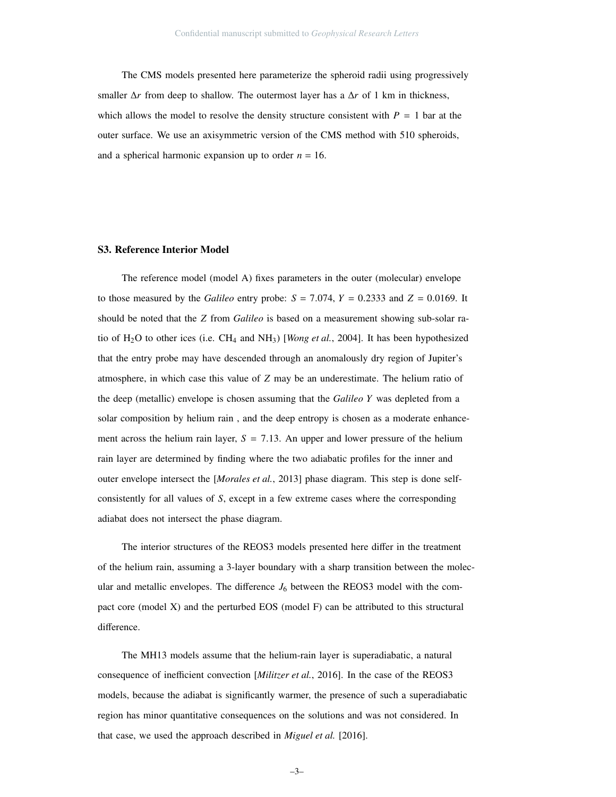The CMS models presented here parameterize the spheroid radii using progressively smaller  $\Delta r$  from deep to shallow. The outermost layer has a  $\Delta r$  of 1 km in thickness, which allows the model to resolve the density structure consistent with  $P = 1$  bar at the outer surface. We use an axisymmetric version of the CMS method with 510 spheroids, and a spherical harmonic expansion up to order  $n = 16$ .

#### S3. Reference Interior Model

The reference model (model A) fixes parameters in the outer (molecular) envelope to those measured by the *Galileo* entry probe:  $S = 7.074$ ,  $Y = 0.2333$  and  $Z = 0.0169$ . It should be noted that the *Z* from *Galileo* is based on a measurement showing sub-solar ratio of H2O to other ices (i.e. CH<sup>4</sup> and NH3) [*Wong et al.*, 2004]. It has been hypothesized that the entry probe may have descended through an anomalously dry region of Jupiter's atmosphere, in which case this value of *Z* may be an underestimate. The helium ratio of the deep (metallic) envelope is chosen assuming that the *Galileo Y* was depleted from a solar composition by helium rain , and the deep entropy is chosen as a moderate enhancement across the helium rain layer,  $S = 7.13$ . An upper and lower pressure of the helium rain layer are determined by finding where the two adiabatic profiles for the inner and outer envelope intersect the [*Morales et al.*, 2013] phase diagram. This step is done selfconsistently for all values of *S*, except in a few extreme cases where the corresponding adiabat does not intersect the phase diagram.

The interior structures of the REOS3 models presented here differ in the treatment of the helium rain, assuming a 3-layer boundary with a sharp transition between the molecular and metallic envelopes. The difference  $J_6$  between the REOS3 model with the compact core (model X) and the perturbed EOS (model F) can be attributed to this structural difference.

The MH13 models assume that the helium-rain layer is superadiabatic, a natural consequence of inefficient convection [*Militzer et al.*, 2016]. In the case of the REOS3 models, because the adiabat is significantly warmer, the presence of such a superadiabatic region has minor quantitative consequences on the solutions and was not considered. In that case, we used the approach described in *Miguel et al.* [2016].

–3–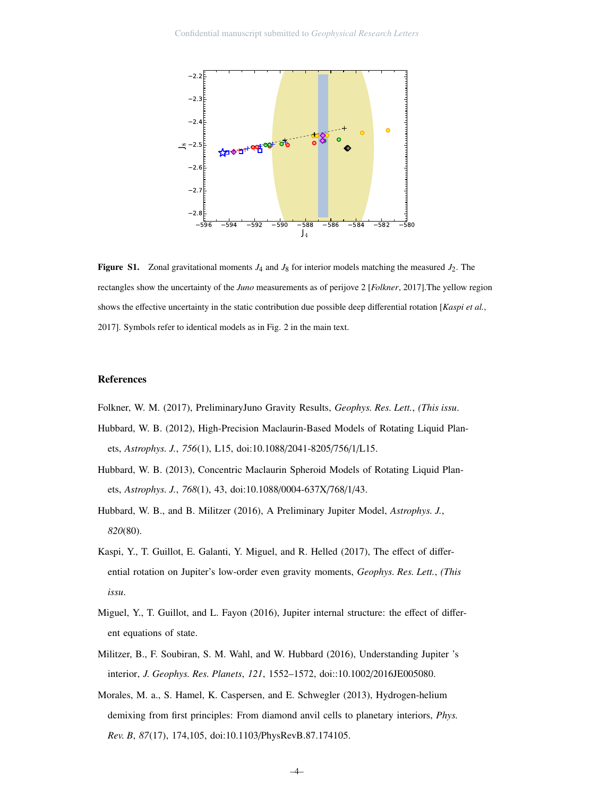

**Figure S1.** Zonal gravitational moments  $J_4$  and  $J_8$  for interior models matching the measured  $J_2$ . The rectangles show the uncertainty of the *Juno* measurements as of perijove 2 [*Folkner*, 2017].The yellow region shows the effective uncertainty in the static contribution due possible deep differential rotation [*Kaspi et al.*, 2017]. Symbols refer to identical models as in Fig. 2 in the main text.

#### References

Folkner, W. M. (2017), PreliminaryJuno Gravity Results, *Geophys. Res. Lett.*, *(This issu*.

- Hubbard, W. B. (2012), High-Precision Maclaurin-Based Models of Rotating Liquid Planets, *Astrophys. J.*, *756*(1), L15, doi:10.1088/2041-8205/756/1/L15.
- Hubbard, W. B. (2013), Concentric Maclaurin Spheroid Models of Rotating Liquid Planets, *Astrophys. J.*, *768*(1), 43, doi:10.1088/0004-637X/768/1/43.
- Hubbard, W. B., and B. Militzer (2016), A Preliminary Jupiter Model, *Astrophys. J.*, *820*(80).
- Kaspi, Y., T. Guillot, E. Galanti, Y. Miguel, and R. Helled (2017), The effect of differential rotation on Jupiter's low-order even gravity moments, *Geophys. Res. Lett.*, *(This issu*.
- Miguel, Y., T. Guillot, and L. Fayon (2016), Jupiter internal structure: the effect of different equations of state.
- Militzer, B., F. Soubiran, S. M. Wahl, and W. Hubbard (2016), Understanding Jupiter 's interior, *J. Geophys. Res. Planets*, *121*, 1552–1572, doi::10.1002/2016JE005080.
- Morales, M. a., S. Hamel, K. Caspersen, and E. Schwegler (2013), Hydrogen-helium demixing from first principles: From diamond anvil cells to planetary interiors, *Phys. Rev. B*, *87*(17), 174,105, doi:10.1103/PhysRevB.87.174105.